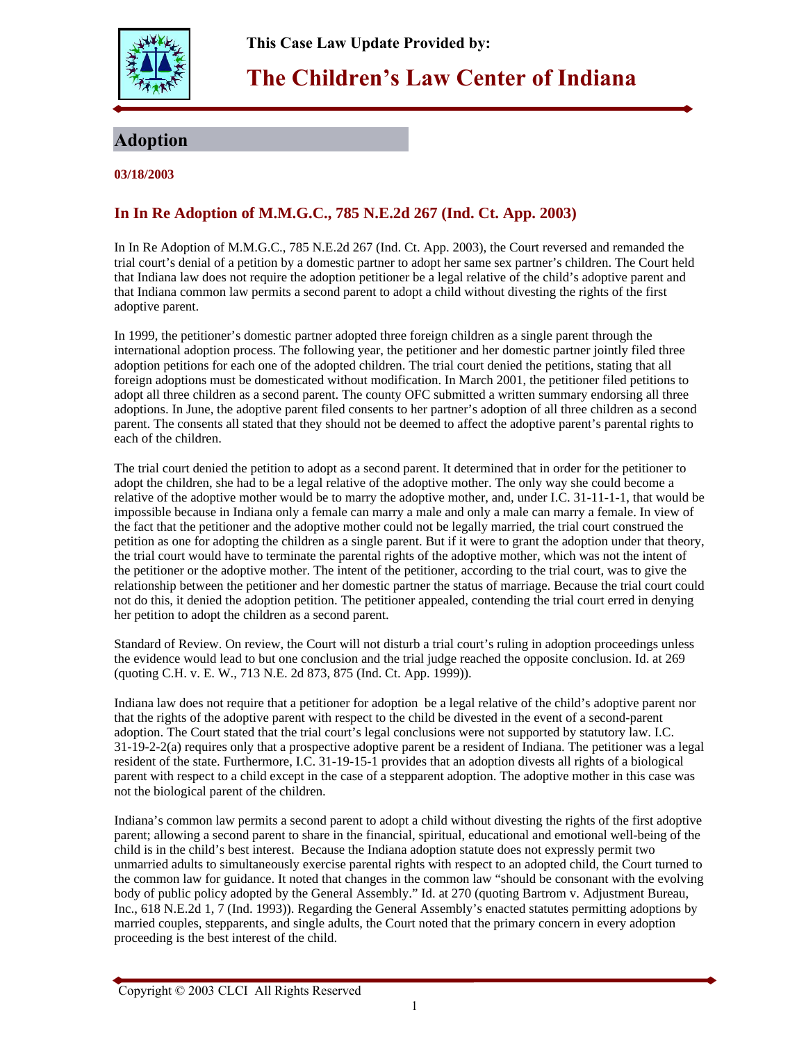

**This Case Law Update Provided by:** 

## **The Children's Law Center of Indiana**

## **Adoption**

**CHINS 03/18/2003**

## **In In Re Adoption of M.M.G.C., 785 N.E.2d 267 (Ind. Ct. App. 2003)**

In In Re Adoption of M.M.G.C., 785 N.E.2d 267 (Ind. Ct. App. 2003), the Court reversed and remanded the trial court's denial of a petition by a domestic partner to adopt her same sex partner's children. The Court held that Indiana law does not require the adoption petitioner be a legal relative of the child's adoptive parent and that Indiana common law permits a second parent to adopt a child without divesting the rights of the first adoptive parent.

In 1999, the petitioner's domestic partner adopted three foreign children as a single parent through the international adoption process. The following year, the petitioner and her domestic partner jointly filed three adoption petitions for each one of the adopted children. The trial court denied the petitions, stating that all foreign adoptions must be domesticated without modification. In March 2001, the petitioner filed petitions to adopt all three children as a second parent. The county OFC submitted a written summary endorsing all three adoptions. In June, the adoptive parent filed consents to her partner's adoption of all three children as a second parent. The consents all stated that they should not be deemed to affect the adoptive parent's parental rights to each of the children.

The trial court denied the petition to adopt as a second parent. It determined that in order for the petitioner to adopt the children, she had to be a legal relative of the adoptive mother. The only way she could become a relative of the adoptive mother would be to marry the adoptive mother, and, under I.C. 31-11-1-1, that would be impossible because in Indiana only a female can marry a male and only a male can marry a female. In view of the fact that the petitioner and the adoptive mother could not be legally married, the trial court construed the petition as one for adopting the children as a single parent. But if it were to grant the adoption under that theory, the trial court would have to terminate the parental rights of the adoptive mother, which was not the intent of the petitioner or the adoptive mother. The intent of the petitioner, according to the trial court, was to give the relationship between the petitioner and her domestic partner the status of marriage. Because the trial court could not do this, it denied the adoption petition. The petitioner appealed, contending the trial court erred in denying her petition to adopt the children as a second parent.

Standard of Review. On review, the Court will not disturb a trial court's ruling in adoption proceedings unless the evidence would lead to but one conclusion and the trial judge reached the opposite conclusion. Id. at 269 (quoting C.H. v. E. W., 713 N.E. 2d 873, 875 (Ind. Ct. App. 1999)).

Indiana law does not require that a petitioner for adoption be a legal relative of the child's adoptive parent nor that the rights of the adoptive parent with respect to the child be divested in the event of a second-parent adoption. The Court stated that the trial court's legal conclusions were not supported by statutory law. I.C. 31-19-2-2(a) requires only that a prospective adoptive parent be a resident of Indiana. The petitioner was a legal resident of the state. Furthermore, I.C. 31-19-15-1 provides that an adoption divests all rights of a biological parent with respect to a child except in the case of a stepparent adoption. The adoptive mother in this case was not the biological parent of the children.

Indiana's common law permits a second parent to adopt a child without divesting the rights of the first adoptive parent; allowing a second parent to share in the financial, spiritual, educational and emotional well-being of the child is in the child's best interest. Because the Indiana adoption statute does not expressly permit two unmarried adults to simultaneously exercise parental rights with respect to an adopted child, the Court turned to the common law for guidance. It noted that changes in the common law "should be consonant with the evolving body of public policy adopted by the General Assembly." Id. at 270 (quoting Bartrom v. Adjustment Bureau, Inc., 618 N.E.2d 1, 7 (Ind. 1993)). Regarding the General Assembly's enacted statutes permitting adoptions by married couples, stepparents, and single adults, the Court noted that the primary concern in every adoption proceeding is the best interest of the child.